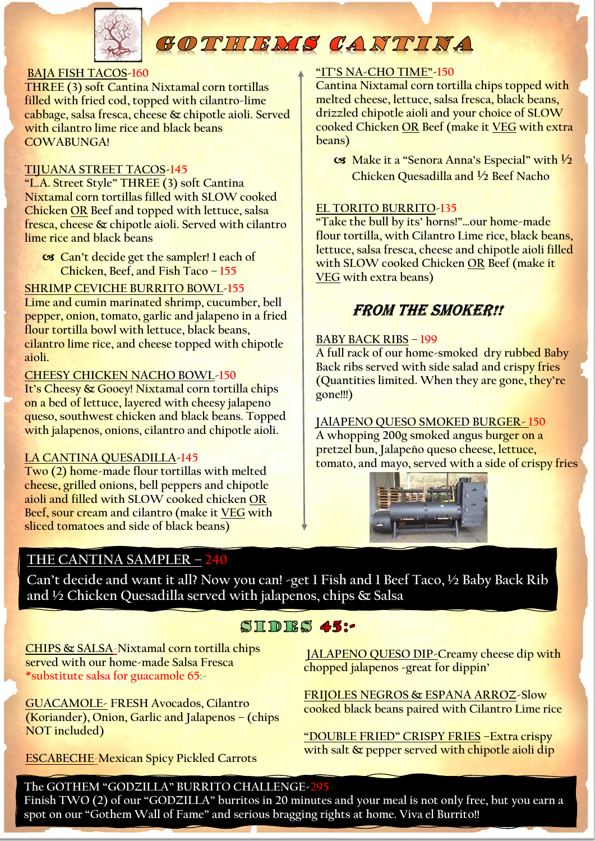

# GOTHIEMS CANTINA

#### **BAJA FISH TACOS-160**

**THREE (3) soft Cantina Nixtamal corn tortillas filled with fried cod, topped with cilantro-lime cabbage, salsa fresca, cheese & chipotle aioli. Served with cilantro lime rice and black beans COWABUNGA!**

#### **TIJUANA STREET TACOS-145**

**"L.A. Street Style" THREE (3) soft Cantina Nixtamal corn tortillas filled with SLOW cooked Chicken OR Beef and topped with lettuce, salsa fresca, cheese & chipotle aioli. Served with cilantro lime rice and black beans**

 **Can't decide get the sampler! 1 each of Chicken, Beef, and Fish Taco – 155**

#### **SHRIMP CEVICHE BURRITO BOWL-155**

**Lime and cumin marinated shrimp, cucumber, bell pepper, onion, tomato, garlic and jalapeno in a fried flour tortilla bowl with lettuce, black beans, cilantro lime rice, and cheese topped with chipotle aioli.**

#### **CHEESY CHICKEN NACHO BOWL-150**

**It's Cheesy & Gooey! Nixtamal corn tortilla chips on a bed of lettuce, layered with cheesy jalapeno queso, southwest chicken and black beans. Topped with jalapenos, onions, cilantro and chipotle aioli.**

#### **LA CANTINA QUESADILLA-145**

**Two (2) home-made flour tortillas with melted cheese, grilled onions, bell peppers and chipotle aioli and filled with SLOW cooked chicken OR Beef, sour cream and cilantro (make it VEG with sliced tomatoes and side of black beans)**

# **THE CANTINA SAMPLER – 240**

**"IT'S NA-CHO TIME"-150**

**Cantina Nixtamal corn tortilla chips topped with melted cheese, lettuce, salsa fresca, black beans, drizzled chipotle aioli and your choice of SLOW cooked Chicken OR Beef (make it VEG with extra beans)**

 **Make it a "Senora Anna's Especial" with ½ Chicken Quesadilla and ½ Beef Nacho**

#### **EL TORITO BURRITO-135**

**"Take the bull by its' horns!"…our home-made flour tortilla, with Cilantro Lime rice, black beans, lettuce, salsa fresca, cheese and chipotle aioli filled with SLOW cooked Chicken OR Beef (make it VEG with extra beans)**

## **FROM THE SMOKER!!**

#### **BABY BACK RIBS – 199**

**A full rack of our home-smoked dry rubbed Baby Back ribs served with side salad and crispy fries (Quantities limited. When they are gone, they're gone!!!)**

**JAlAPENO QUESO SMOKED BURGER- 150**

**A whopping 200g smoked angus burger on a pretzel bun, Jalapeño queso cheese, lettuce, tomato, and mayo, served with a side of crispy fries**



**Can't decide and want it all? Now you can! -get 1 Fish and 1 Beef Taco, ½ Baby Back Rib and ½ Chicken Quesadilla served with jalapenos, chips & Salsa**

# SIDES 45:-

**CHIPS & SALSA**-**Nixtamal corn tortilla chips served with our home-made Salsa Fresca \*substitute salsa for guacamole 65:-**

**GUACAMOLE- FRESH Avocados, Cilantro (Koriander), Onion, Garlic and Jalapenos – (chips NOT included)**

**ESCABECHE**-**Mexican Spicy Pickled Carrots**

**JALAPENO QUESO DIP-Creamy cheese dip with chopped jalapenos -great for dippin'**

**FRIJOLES NEGROS & ESPANA ARROZ-Slow cooked black beans paired with Cilantro Lime rice**

**"DOUBLE FRIED" CRISPY FRIES –Extra crispy with salt & pepper served with chipotle aioli dip**

### **The GOTHEM "GODZILLA" BURRITO CHALLENGE-295**

**Finish TWO (2) of our "GODZILLA" burritos in 20 minutes and your meal is not only free, but you earn a spot on our "Gothem Wall of Fame" and serious bragging rights at home. Viva el Burrito!!**